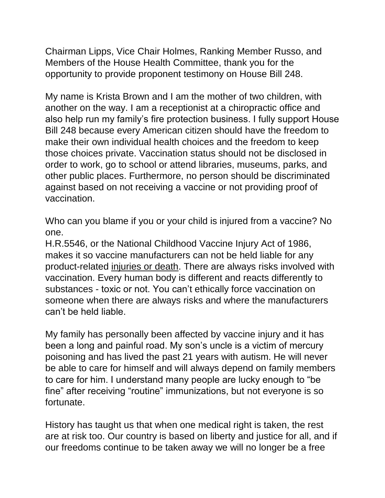Chairman Lipps, Vice Chair Holmes, Ranking Member Russo, and Members of the House Health Committee, thank you for the opportunity to provide proponent testimony on House Bill 248.

My name is Krista Brown and I am the mother of two children, with another on the way. I am a receptionist at a chiropractic office and also help run my family's fire protection business. I fully support House Bill 248 because every American citizen should have the freedom to make their own individual health choices and the freedom to keep those choices private. Vaccination status should not be disclosed in order to work, go to school or attend libraries, museums, parks, and other public places. Furthermore, no person should be discriminated against based on not receiving a vaccine or not providing proof of vaccination.

Who can you blame if you or your child is injured from a vaccine? No one.

H.R.5546, or the National Childhood Vaccine Injury Act of 1986, makes it so vaccine manufacturers can not be held liable for any product-related injuries or death. There are always risks involved with vaccination. Every human body is different and reacts differently to substances - toxic or not. You can't ethically force vaccination on someone when there are always risks and where the manufacturers can't be held liable.

My family has personally been affected by vaccine injury and it has been a long and painful road. My son's uncle is a victim of mercury poisoning and has lived the past 21 years with autism. He will never be able to care for himself and will always depend on family members to care for him. I understand many people are lucky enough to "be fine" after receiving "routine" immunizations, but not everyone is so fortunate.

History has taught us that when one medical right is taken, the rest are at risk too. Our country is based on liberty and justice for all, and if our freedoms continue to be taken away we will no longer be a free